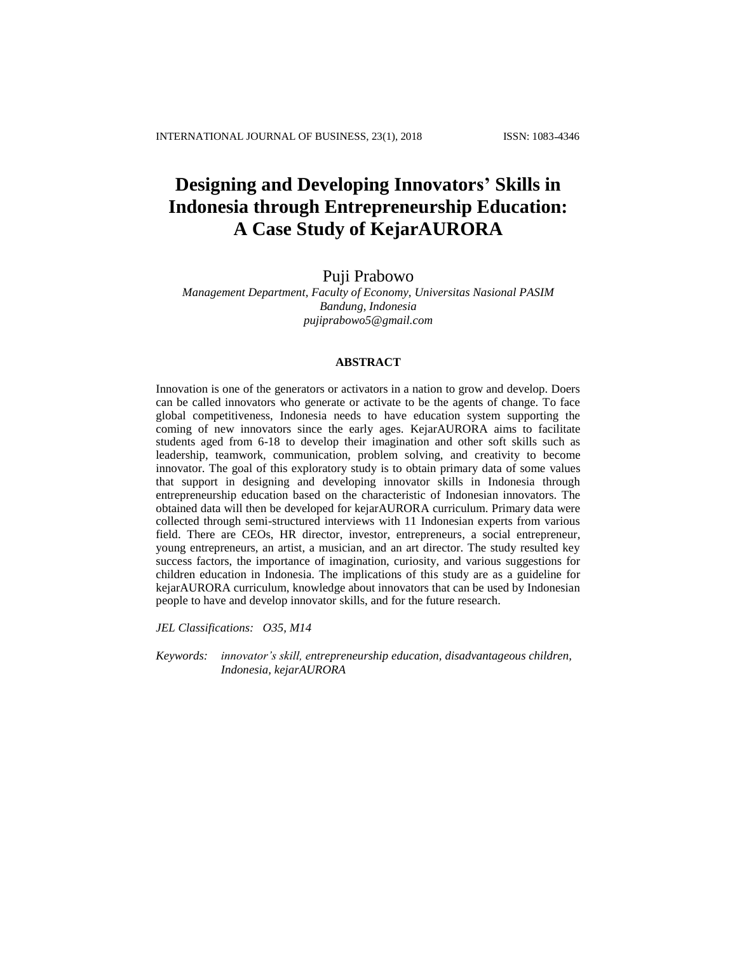# **Designing and Developing Innovators' Skills in Indonesia through Entrepreneurship Education: A Case Study of KejarAURORA**

# Puji Prabowo

## *Management Department, Faculty of Economy, Universitas Nasional PASIM Bandung, Indonesia [pujiprabowo5@gmail.com](mailto:pujiprabowo5@gmail.com)*

#### **ABSTRACT**

Innovation is one of the generators or activators in a nation to grow and develop. Doers can be called innovators who generate or activate to be the agents of change. To face global competitiveness, Indonesia needs to have education system supporting the coming of new innovators since the early ages. KejarAURORA aims to facilitate students aged from 6-18 to develop their imagination and other soft skills such as leadership, teamwork, communication, problem solving, and creativity to become innovator. The goal of this exploratory study is to obtain primary data of some values that support in designing and developing innovator skills in Indonesia through entrepreneurship education based on the characteristic of Indonesian innovators. The obtained data will then be developed for kejarAURORA curriculum. Primary data were collected through semi-structured interviews with 11 Indonesian experts from various field. There are CEOs, HR director, investor, entrepreneurs, a social entrepreneur, young entrepreneurs, an artist, a musician, and an art director. The study resulted key success factors, the importance of imagination, curiosity, and various suggestions for children education in Indonesia. The implications of this study are as a guideline for kejarAURORA curriculum, knowledge about innovators that can be used by Indonesian people to have and develop innovator skills, and for the future research.

*JEL Classifications: O35, M14*

*Keywords: innovator's skill, entrepreneurship education, disadvantageous children, Indonesia, kejarAURORA*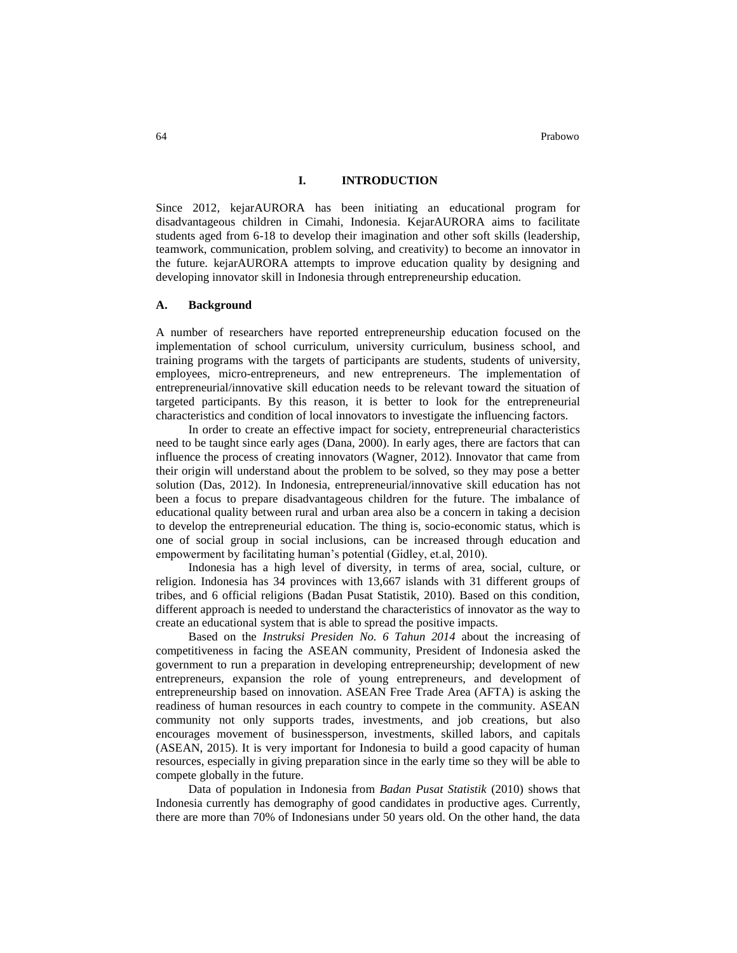64 Prabowo

#### **I. INTRODUCTION**

Since 2012, kejarAURORA has been initiating an educational program for disadvantageous children in Cimahi, Indonesia. KejarAURORA aims to facilitate students aged from 6-18 to develop their imagination and other soft skills (leadership, teamwork, communication, problem solving, and creativity) to become an innovator in the future. kejarAURORA attempts to improve education quality by designing and developing innovator skill in Indonesia through entrepreneurship education.

#### **A. Background**

A number of researchers have reported entrepreneurship education focused on the implementation of school curriculum, university curriculum, business school, and training programs with the targets of participants are students, students of university, employees, micro-entrepreneurs, and new entrepreneurs. The implementation of entrepreneurial/innovative skill education needs to be relevant toward the situation of targeted participants. By this reason, it is better to look for the entrepreneurial characteristics and condition of local innovators to investigate the influencing factors.

In order to create an effective impact for society, entrepreneurial characteristics need to be taught since early ages (Dana, 2000). In early ages, there are factors that can influence the process of creating innovators (Wagner, 2012). Innovator that came from their origin will understand about the problem to be solved, so they may pose a better solution (Das, 2012). In Indonesia, entrepreneurial/innovative skill education has not been a focus to prepare disadvantageous children for the future. The imbalance of educational quality between rural and urban area also be a concern in taking a decision to develop the entrepreneurial education. The thing is, socio-economic status, which is one of social group in social inclusions, can be increased through education and empowerment by facilitating human's potential (Gidley, et.al, 2010).

Indonesia has a high level of diversity, in terms of area, social, culture, or religion. Indonesia has 34 provinces with 13,667 islands with 31 different groups of tribes, and 6 official religions (Badan Pusat Statistik, 2010). Based on this condition, different approach is needed to understand the characteristics of innovator as the way to create an educational system that is able to spread the positive impacts.

Based on the *Instruksi Presiden No. 6 Tahun 2014* about the increasing of competitiveness in facing the ASEAN community, President of Indonesia asked the government to run a preparation in developing entrepreneurship; development of new entrepreneurs, expansion the role of young entrepreneurs, and development of entrepreneurship based on innovation. ASEAN Free Trade Area (AFTA) is asking the readiness of human resources in each country to compete in the community. ASEAN community not only supports trades, investments, and job creations, but also encourages movement of businessperson, investments, skilled labors, and capitals (ASEAN, 2015). It is very important for Indonesia to build a good capacity of human resources, especially in giving preparation since in the early time so they will be able to compete globally in the future.

Data of population in Indonesia from *Badan Pusat Statistik* (2010) shows that Indonesia currently has demography of good candidates in productive ages. Currently, there are more than 70% of Indonesians under 50 years old. On the other hand, the data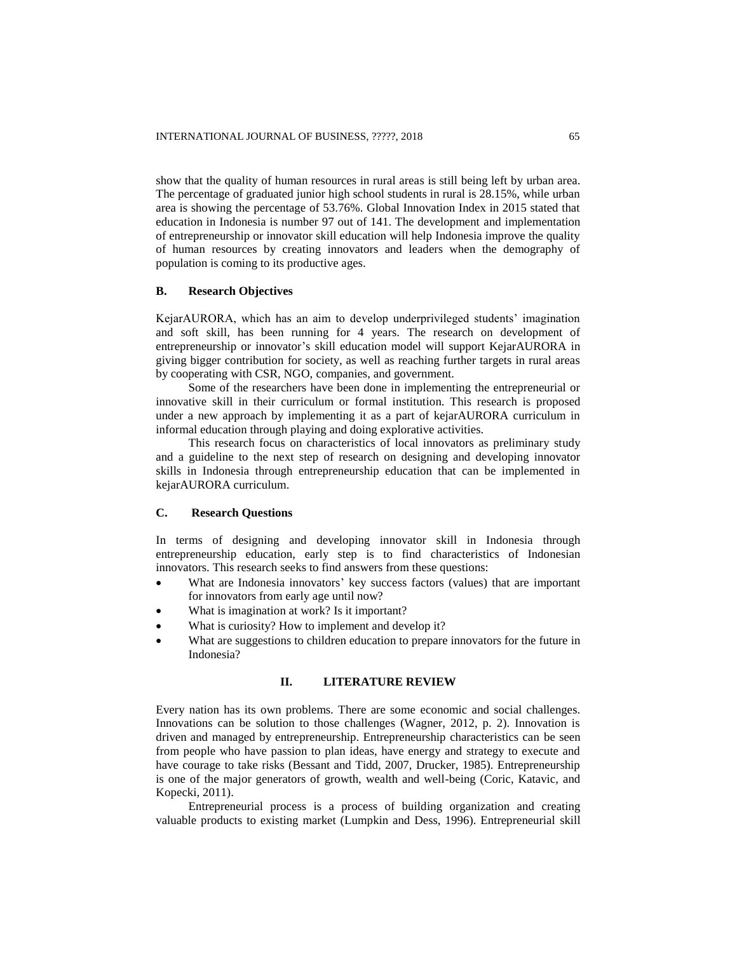show that the quality of human resources in rural areas is still being left by urban area. The percentage of graduated junior high school students in rural is 28.15%, while urban area is showing the percentage of 53.76%. Global Innovation Index in 2015 stated that education in Indonesia is number 97 out of 141. The development and implementation of entrepreneurship or innovator skill education will help Indonesia improve the quality of human resources by creating innovators and leaders when the demography of population is coming to its productive ages.

## **B. Research Objectives**

KejarAURORA, which has an aim to develop underprivileged students' imagination and soft skill, has been running for 4 years. The research on development of entrepreneurship or innovator's skill education model will support KejarAURORA in giving bigger contribution for society, as well as reaching further targets in rural areas by cooperating with CSR, NGO, companies, and government.

Some of the researchers have been done in implementing the entrepreneurial or innovative skill in their curriculum or formal institution. This research is proposed under a new approach by implementing it as a part of kejarAURORA curriculum in informal education through playing and doing explorative activities.

This research focus on characteristics of local innovators as preliminary study and a guideline to the next step of research on designing and developing innovator skills in Indonesia through entrepreneurship education that can be implemented in kejarAURORA curriculum.

## **C. Research Questions**

In terms of designing and developing innovator skill in Indonesia through entrepreneurship education, early step is to find characteristics of Indonesian innovators. This research seeks to find answers from these questions:

- What are Indonesia innovators' key success factors (values) that are important for innovators from early age until now?
- What is imagination at work? Is it important?
- What is curiosity? How to implement and develop it?
- What are suggestions to children education to prepare innovators for the future in Indonesia?

## **II. LITERATURE REVIEW**

Every nation has its own problems. There are some economic and social challenges. Innovations can be solution to those challenges (Wagner, 2012, p. 2). Innovation is driven and managed by entrepreneurship. Entrepreneurship characteristics can be seen from people who have passion to plan ideas, have energy and strategy to execute and have courage to take risks (Bessant and Tidd, 2007, Drucker, 1985). Entrepreneurship is one of the major generators of growth, wealth and well-being (Coric, Katavic, and Kopecki, 2011).

Entrepreneurial process is a process of building organization and creating valuable products to existing market (Lumpkin and Dess, 1996). Entrepreneurial skill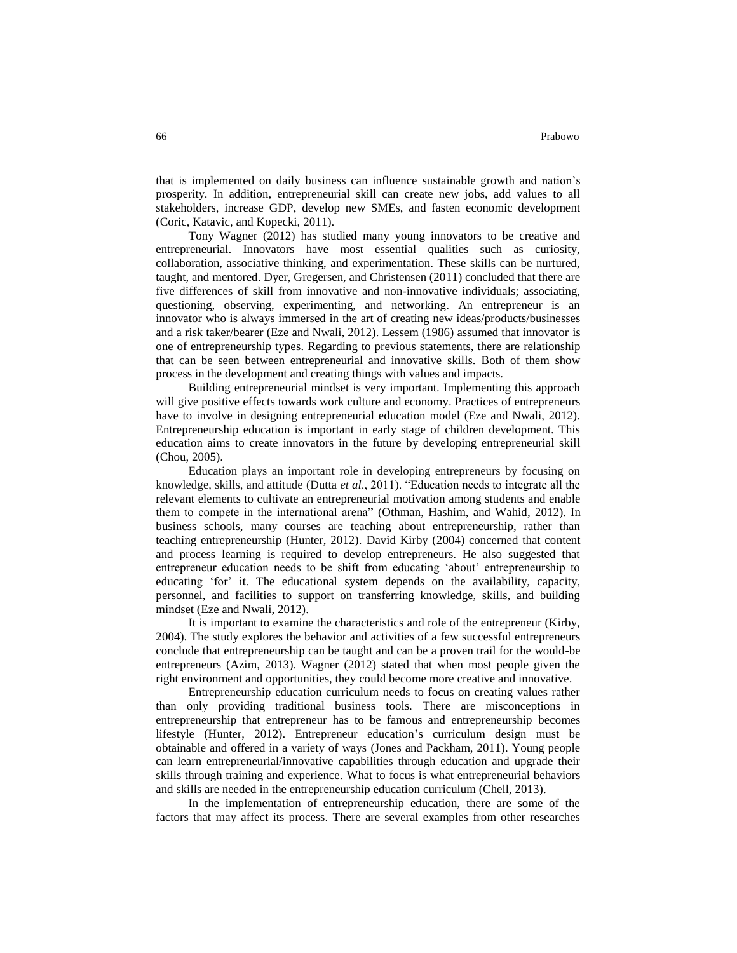that is implemented on daily business can influence sustainable growth and nation's prosperity. In addition, entrepreneurial skill can create new jobs, add values to all stakeholders, increase GDP, develop new SMEs, and fasten economic development (Coric, Katavic, and Kopecki, 2011).

Tony Wagner (2012) has studied many young innovators to be creative and entrepreneurial. Innovators have most essential qualities such as curiosity, collaboration, associative thinking, and experimentation. These skills can be nurtured, taught, and mentored. Dyer, Gregersen, and Christensen (2011) concluded that there are five differences of skill from innovative and non-innovative individuals; associating, questioning, observing, experimenting, and networking. An entrepreneur is an innovator who is always immersed in the art of creating new ideas/products/businesses and a risk taker/bearer (Eze and Nwali, 2012). Lessem (1986) assumed that innovator is one of entrepreneurship types. Regarding to previous statements, there are relationship that can be seen between entrepreneurial and innovative skills. Both of them show process in the development and creating things with values and impacts.

Building entrepreneurial mindset is very important. Implementing this approach will give positive effects towards work culture and economy. Practices of entrepreneurs have to involve in designing entrepreneurial education model (Eze and Nwali, 2012). Entrepreneurship education is important in early stage of children development. This education aims to create innovators in the future by developing entrepreneurial skill (Chou, 2005).

Education plays an important role in developing entrepreneurs by focusing on knowledge, skills, and attitude (Dutta *et al*., 2011). "Education needs to integrate all the relevant elements to cultivate an entrepreneurial motivation among students and enable them to compete in the international arena" (Othman, Hashim, and Wahid, 2012). In business schools, many courses are teaching about entrepreneurship, rather than teaching entrepreneurship (Hunter, 2012). David Kirby (2004) concerned that content and process learning is required to develop entrepreneurs. He also suggested that entrepreneur education needs to be shift from educating 'about' entrepreneurship to educating 'for' it. The educational system depends on the availability, capacity, personnel, and facilities to support on transferring knowledge, skills, and building mindset (Eze and Nwali, 2012).

It is important to examine the characteristics and role of the entrepreneur (Kirby, 2004). The study explores the behavior and activities of a few successful entrepreneurs conclude that entrepreneurship can be taught and can be a proven trail for the would-be entrepreneurs (Azim, 2013). Wagner (2012) stated that when most people given the right environment and opportunities, they could become more creative and innovative.

Entrepreneurship education curriculum needs to focus on creating values rather than only providing traditional business tools. There are misconceptions in entrepreneurship that entrepreneur has to be famous and entrepreneurship becomes lifestyle (Hunter, 2012). Entrepreneur education's curriculum design must be obtainable and offered in a variety of ways (Jones and Packham, 2011). Young people can learn entrepreneurial/innovative capabilities through education and upgrade their skills through training and experience. What to focus is what entrepreneurial behaviors and skills are needed in the entrepreneurship education curriculum (Chell, 2013).

In the implementation of entrepreneurship education, there are some of the factors that may affect its process. There are several examples from other researches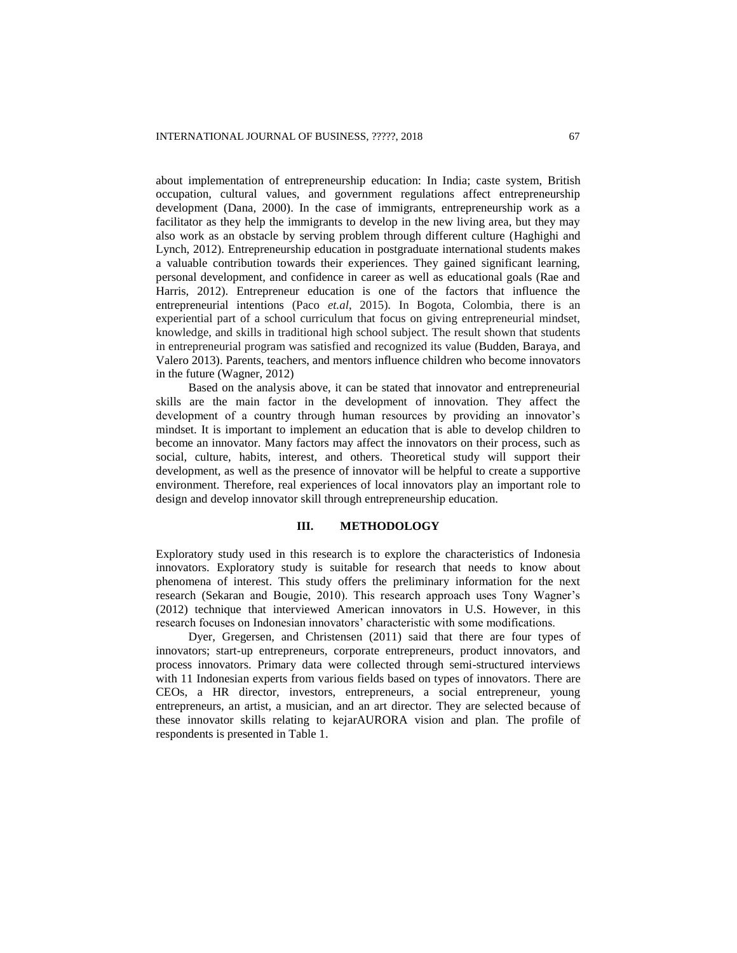about implementation of entrepreneurship education: In India; caste system, British occupation, cultural values, and government regulations affect entrepreneurship development (Dana, 2000). In the case of immigrants, entrepreneurship work as a facilitator as they help the immigrants to develop in the new living area, but they may also work as an obstacle by serving problem through different culture (Haghighi and Lynch, 2012). Entrepreneurship education in postgraduate international students makes a valuable contribution towards their experiences. They gained significant learning, personal development, and confidence in career as well as educational goals (Rae and Harris, 2012). Entrepreneur education is one of the factors that influence the entrepreneurial intentions (Paco *et.al*, 2015). In Bogota, Colombia, there is an experiential part of a school curriculum that focus on giving entrepreneurial mindset, knowledge, and skills in traditional high school subject. The result shown that students in entrepreneurial program was satisfied and recognized its value (Budden, Baraya, and Valero 2013). Parents, teachers, and mentors influence children who become innovators in the future (Wagner, 2012)

Based on the analysis above, it can be stated that innovator and entrepreneurial skills are the main factor in the development of innovation. They affect the development of a country through human resources by providing an innovator's mindset. It is important to implement an education that is able to develop children to become an innovator. Many factors may affect the innovators on their process, such as social, culture, habits, interest, and others. Theoretical study will support their development, as well as the presence of innovator will be helpful to create a supportive environment. Therefore, real experiences of local innovators play an important role to design and develop innovator skill through entrepreneurship education.

#### **III. METHODOLOGY**

Exploratory study used in this research is to explore the characteristics of Indonesia innovators. Exploratory study is suitable for research that needs to know about phenomena of interest. This study offers the preliminary information for the next research (Sekaran and Bougie, 2010). This research approach uses Tony Wagner's (2012) technique that interviewed American innovators in U.S. However, in this research focuses on Indonesian innovators' characteristic with some modifications.

Dyer, Gregersen, and Christensen (2011) said that there are four types of innovators; start-up entrepreneurs, corporate entrepreneurs, product innovators, and process innovators. Primary data were collected through semi-structured interviews with 11 Indonesian experts from various fields based on types of innovators. There are CEOs, a HR director, investors, entrepreneurs, a social entrepreneur, young entrepreneurs, an artist, a musician, and an art director. They are selected because of these innovator skills relating to kejarAURORA vision and plan. The profile of respondents is presented in Table 1.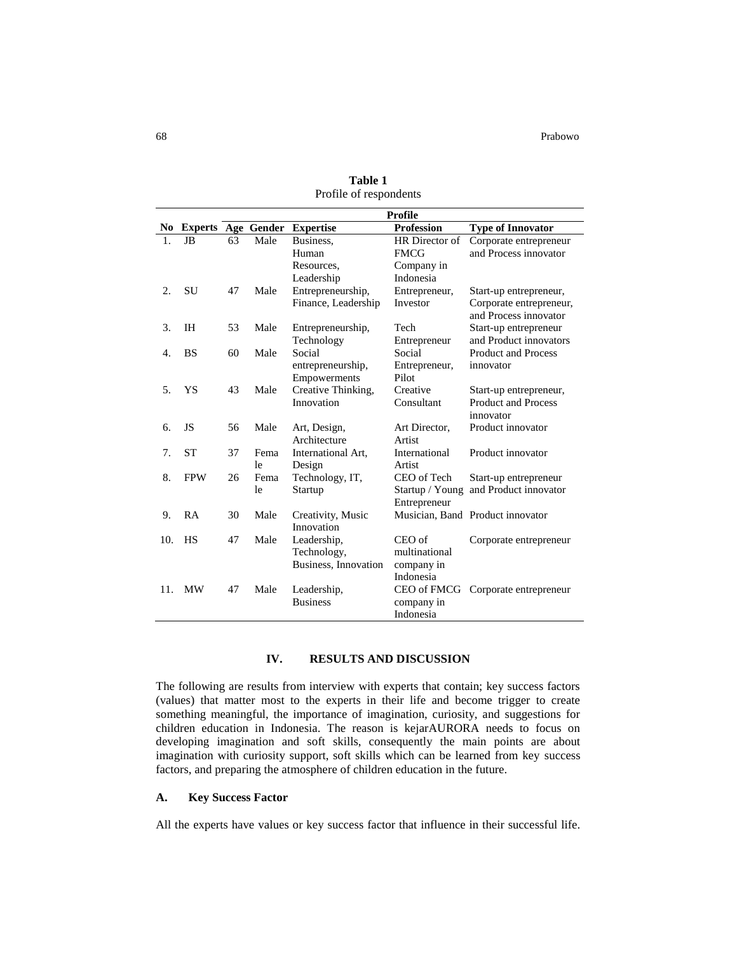|     |                           | <b>Profile</b> |      |                      |                   |                                  |
|-----|---------------------------|----------------|------|----------------------|-------------------|----------------------------------|
| No  | <b>Experts Age Gender</b> |                |      | <b>Expertise</b>     | <b>Profession</b> | <b>Type of Innovator</b>         |
| 1.  | JB                        | 63             | Male | Business,            | HR Director of    | Corporate entrepreneur           |
|     |                           |                |      | Human                | <b>FMCG</b>       | and Process innovator            |
|     |                           |                |      | Resources,           | Company in        |                                  |
|     |                           |                |      | Leadership           | Indonesia         |                                  |
| 2.  | SU                        | 47             | Male | Entrepreneurship,    | Entrepreneur,     | Start-up entrepreneur,           |
|     |                           |                |      | Finance, Leadership  | Investor          | Corporate entrepreneur,          |
|     |                           |                |      |                      |                   | and Process innovator            |
| 3.  | <b>IH</b>                 | 53             | Male | Entrepreneurship,    | Tech              | Start-up entrepreneur            |
|     |                           |                |      | Technology           | Entrepreneur      | and Product innovators           |
| 4.  | <b>BS</b>                 | 60             | Male | Social               | Social            | <b>Product and Process</b>       |
|     |                           |                |      | entrepreneurship,    | Entrepreneur,     | innovator                        |
|     |                           |                |      | Empowerments         | Pilot             |                                  |
| 5.  | YS                        | 43             | Male | Creative Thinking,   | Creative          | Start-up entrepreneur,           |
|     |                           |                |      | Innovation           | Consultant        | <b>Product and Process</b>       |
|     |                           |                |      |                      |                   | innovator                        |
| 6.  | JS                        | 56             | Male | Art, Design,         | Art Director,     | Product innovator                |
|     |                           |                |      | Architecture         | Artist            |                                  |
| 7.  | <b>ST</b>                 | 37             | Fema | International Art,   | International     | Product innovator                |
|     |                           |                | le   | Design               | Artist            |                                  |
| 8.  | <b>FPW</b>                | 26             | Fema | Technology, IT,      | CEO of Tech       | Start-up entrepreneur            |
|     |                           |                | le   | Startup              | Startup / Young   | and Product innovator            |
|     |                           |                |      |                      | Entrepreneur      |                                  |
| 9.  | RA                        | 30             | Male | Creativity, Music    |                   | Musician, Band Product innovator |
|     |                           |                |      | Innovation           |                   |                                  |
| 10. | <b>HS</b>                 | 47             | Male | Leadership,          | CEO of            | Corporate entrepreneur           |
|     |                           |                |      | Technology,          | multinational     |                                  |
|     |                           |                |      | Business, Innovation | company in        |                                  |
|     |                           |                |      |                      | Indonesia         |                                  |
| 11. | <b>MW</b>                 | 47             | Male | Leadership,          | CEO of FMCG       | Corporate entrepreneur           |
|     |                           |                |      | <b>Business</b>      | company in        |                                  |
|     |                           |                |      |                      | Indonesia         |                                  |

**Table 1** Profile of respondents

# **IV. RESULTS AND DISCUSSION**

The following are results from interview with experts that contain; key success factors (values) that matter most to the experts in their life and become trigger to create something meaningful, the importance of imagination, curiosity, and suggestions for children education in Indonesia. The reason is kejarAURORA needs to focus on developing imagination and soft skills, consequently the main points are about imagination with curiosity support, soft skills which can be learned from key success factors, and preparing the atmosphere of children education in the future.

#### **A. Key Success Factor**

All the experts have values or key success factor that influence in their successful life.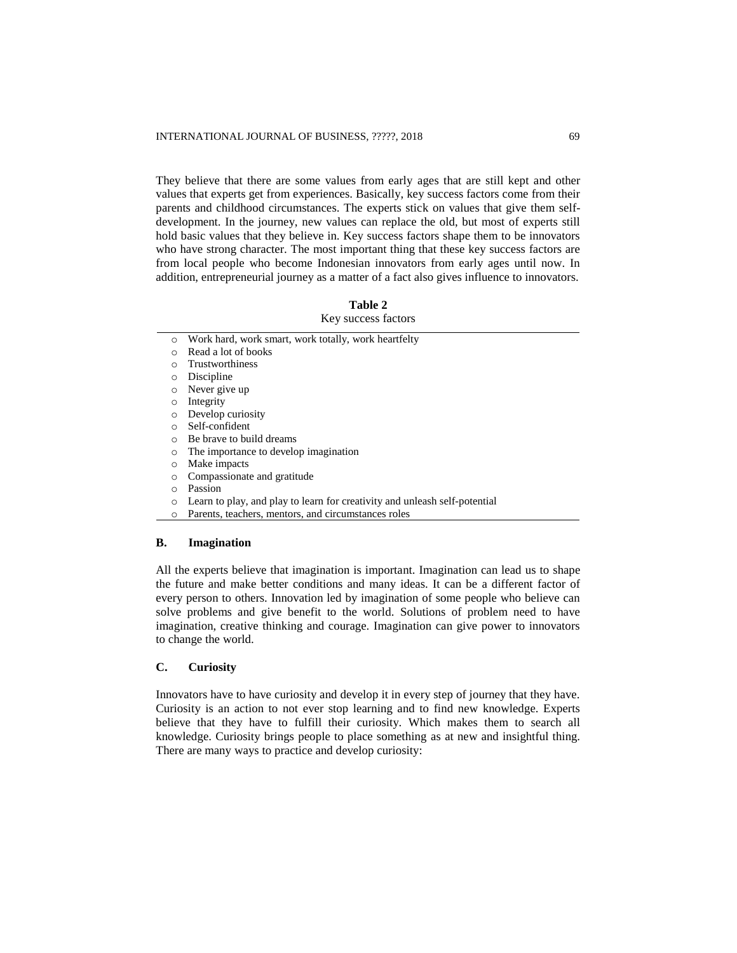They believe that there are some values from early ages that are still kept and other values that experts get from experiences. Basically, key success factors come from their parents and childhood circumstances. The experts stick on values that give them selfdevelopment. In the journey, new values can replace the old, but most of experts still hold basic values that they believe in. Key success factors shape them to be innovators who have strong character. The most important thing that these key success factors are from local people who become Indonesian innovators from early ages until now. In addition, entrepreneurial journey as a matter of a fact also gives influence to innovators.

#### **Table 2**

# Key success factors

- o Work hard, work smart, work totally, work heartfelty
- o Read a lot of books
- o Trustworthiness
- o Discipline
- o Never give up
- o Integrity
- o Develop curiosity
- o Self-confident
- o Be brave to build dreams
- o The importance to develop imagination
- o Make impacts
- o Compassionate and gratitude
- o Passion
- o Learn to play, and play to learn for creativity and unleash self-potential
- o Parents, teachers, mentors, and circumstances roles

#### **B. Imagination**

All the experts believe that imagination is important. Imagination can lead us to shape the future and make better conditions and many ideas. It can be a different factor of every person to others. Innovation led by imagination of some people who believe can solve problems and give benefit to the world. Solutions of problem need to have imagination, creative thinking and courage. Imagination can give power to innovators to change the world.

## **C. Curiosity**

Innovators have to have curiosity and develop it in every step of journey that they have. Curiosity is an action to not ever stop learning and to find new knowledge. Experts believe that they have to fulfill their curiosity. Which makes them to search all knowledge. Curiosity brings people to place something as at new and insightful thing. There are many ways to practice and develop curiosity: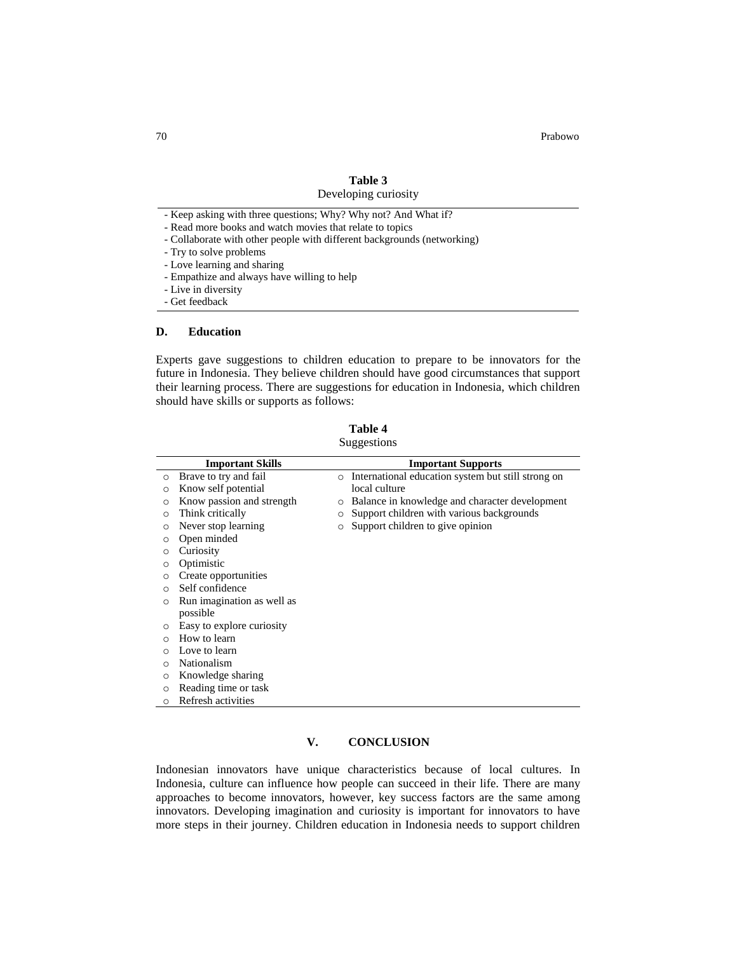70 Prabowo

## **Table 3** Developing curiosity

- Keep asking with three questions; Why? Why not? And What if?
- Read more books and watch movies that relate to topics
- Collaborate with other people with different backgrounds (networking)
- Try to solve problems
- Love learning and sharing
- Empathize and always have willing to help
- Live in diversity
- Get feedback

#### **D. Education**

Experts gave suggestions to children education to prepare to be innovators for the future in Indonesia. They believe children should have good circumstances that support their learning process. There are suggestions for education in Indonesia, which children should have skills or supports as follows:

| Table 4     |
|-------------|
| Suggestions |

|          | <b>Important Skills</b>    |         | <b>Important Supports</b>                          |
|----------|----------------------------|---------|----------------------------------------------------|
| $\circ$  | Brave to try and fail      | $\circ$ | International education system but still strong on |
| O        | Know self potential        |         | local culture                                      |
| O        | Know passion and strength  | $\circ$ | Balance in knowledge and character development     |
| O        | Think critically           | $\circ$ | Support children with various backgrounds          |
| ◠        | Never stop learning        | $\circ$ | Support children to give opinion                   |
| O        | Open minded                |         |                                                    |
| $\circ$  | Curiosity                  |         |                                                    |
|          | Optimistic                 |         |                                                    |
| O        | Create opportunities       |         |                                                    |
| $\Omega$ | Self confidence            |         |                                                    |
| O        | Run imagination as well as |         |                                                    |
|          | possible                   |         |                                                    |
| $\circ$  | Easy to explore curiosity  |         |                                                    |
| ∩        | How to learn               |         |                                                    |
|          | Love to learn              |         |                                                    |
| $\circ$  | Nationalism                |         |                                                    |
| O        | Knowledge sharing          |         |                                                    |
| $\circ$  | Reading time or task       |         |                                                    |
| $\circ$  | Refresh activities         |         |                                                    |

## **V. CONCLUSION**

Indonesian innovators have unique characteristics because of local cultures. In Indonesia, culture can influence how people can succeed in their life. There are many approaches to become innovators, however, key success factors are the same among innovators. Developing imagination and curiosity is important for innovators to have more steps in their journey. Children education in Indonesia needs to support children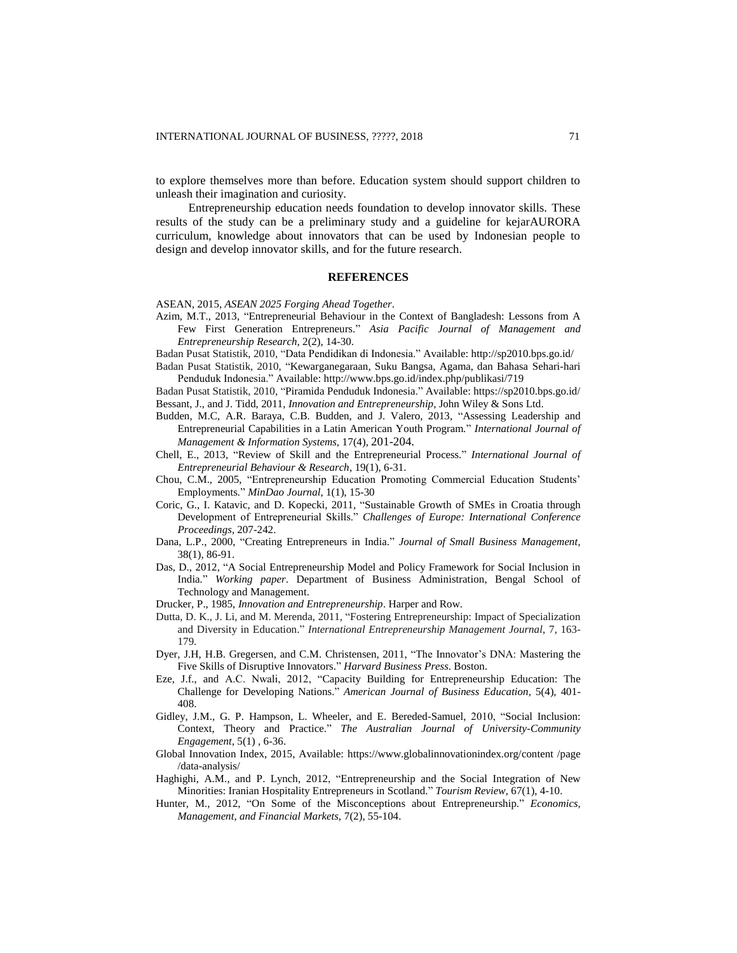to explore themselves more than before. Education system should support children to unleash their imagination and curiosity.

Entrepreneurship education needs foundation to develop innovator skills. These results of the study can be a preliminary study and a guideline for kejarAURORA curriculum, knowledge about innovators that can be used by Indonesian people to design and develop innovator skills, and for the future research.

#### **REFERENCES**

#### ASEAN, 2015, *ASEAN 2025 Forging Ahead Together*.

- Azim, M.T., 2013, "Entrepreneurial Behaviour in the Context of Bangladesh: Lessons from A Few First Generation Entrepreneurs." *Asia Pacific Journal of Management and Entrepreneurship Research,* 2(2), 14-30.
- Badan Pusat Statistik, 2010, "Data Pendidikan di Indonesia." Available[: http://sp2010.bps.go.id/](http://sp2010.bps.go.id/)

Badan Pusat Statistik, 2010, "Kewarganegaraan, Suku Bangsa, Agama, dan Bahasa Sehari-hari Penduduk Indonesia." Available: <http://www.bps.go.id/index.php/publikasi/719>

Badan Pusat Statistik, 2010, "Piramida Penduduk Indonesia." Available: https://sp2010.bps.go.id/ Bessant, J., and J. Tidd, 2011, *Innovation and Entrepreneurship*, John Wiley & Sons Ltd.

- Budden, M.C, A.R. Baraya, C.B. Budden, and J. Valero, 2013, "Assessing Leadership and Entrepreneurial Capabilities in a Latin American Youth Program." *International Journal of Management & Information Systems,* 17(4), 201-204.
- Chell, E., 2013, "Review of Skill and the Entrepreneurial Process." *International Journal of Entrepreneurial Behaviour & Research*, 19(1), 6-31.
- Chou, C.M., 2005, "Entrepreneurship Education Promoting Commercial Education Students' Employments*.*" *MinDao Journal*, 1(1), 15-30
- Coric, G., I. Katavic, and D. Kopecki, 2011, "Sustainable Growth of SMEs in Croatia through Development of Entrepreneurial Skills." *Challenges of Europe: International Conference Proceedings*, 207-242.
- Dana, L.P., 2000, "Creating Entrepreneurs in India." *Journal of Small Business Management*, 38(1), 86-91.
- Das, D., 2012, "A Social Entrepreneurship Model and Policy Framework for Social Inclusion in India*.*" *Working paper*. Department of Business Administration, Bengal School of Technology and Management.
- Drucker, P., 1985, *Innovation and Entrepreneurship*. Harper and Row.
- Dutta, D. K., J. Li, and M. Merenda, 2011, "Fostering Entrepreneurship: Impact of Specialization and Diversity in Education." *International Entrepreneurship Management Journal*, 7, 163- 179.
- Dyer, J.H, H.B. Gregersen, and C.M. Christensen, 2011, "The Innovator's DNA: Mastering the Five Skills of Disruptive Innovators." *Harvard Business Press*. Boston.
- Eze, J.f., and A.C. Nwali, 2012, "Capacity Building for Entrepreneurship Education: The Challenge for Developing Nations." *American Journal of Business Education,* 5(4), 401- 408.
- Gidley, J.M., G. P. Hampson, L. Wheeler, and E. Bereded-Samuel, 2010, "Social Inclusion: Context, Theory and Practice." *The Australian Journal of University-Community Engagement*, 5(1) , 6-36.
- Global Innovation Index, 2015, Available: [https://www.globalinnovationindex.org/c](https://www.globalinnovationindex.org/)ontent /page /data-analysis/
- Haghighi, A.M., and P. Lynch, 2012, "Entrepreneurship and the Social Integration of New Minorities: Iranian Hospitality Entrepreneurs in Scotland." *Tourism Review,* 67(1), 4-10.
- Hunter, M., 2012, "On Some of the Misconceptions about Entrepreneurship." *Economics, Management, and Financial Markets,* 7(2), 55-104.